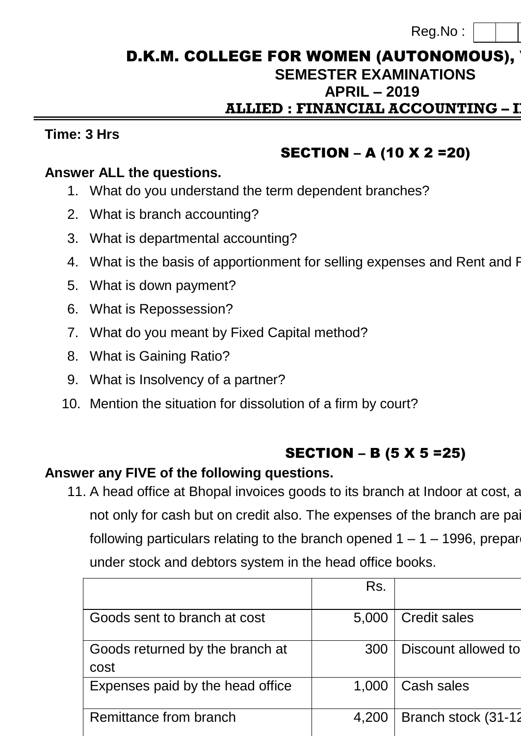Reg.No :

## D.K.M. COLLEGE FOR WOMEN (AUTONOMOUS), **SEMESTER EXAMINATIONS APRIL – 2019 ALLIED : FINANCIAL ACCOUNTING – II**

### **Time: 3 Hrs Max. Marks: 75**

# SECTION – A (10 X 2 =20)

### **Answer ALL the questions.**

- 1. What do you understand the term dependent branches?
- 2. What is branch accounting?
- 3. What is departmental accounting?
- 4. What is the basis of apportionment for selling expenses and Rent and F
- 5. What is down payment?
- 6. What is Repossession?
- 7. What do you meant by Fixed Capital method?
- 8. What is Gaining Ratio?
- 9. What is Insolvency of a partner?
- 10. Mention the situation for dissolution of a firm by court?

# SECTION – B (5 X 5 =25)

## **Answer any FIVE of the following questions.**

11. A head office at Bhopal invoices goods to its branch at Indoor at cost, and the branch sells the branch sell not only for cash but on credit also. The expenses of the branch are paid of the head of the head of  $\alpha$ following particulars relating to the branch opened  $1 - 1 - 1996$ , preparently under stock and debtors system in the head office books.

|                                         | Rs.   |                     |
|-----------------------------------------|-------|---------------------|
| Goods sent to branch at cost            | 5,000 | <b>Credit sales</b> |
| Goods returned by the branch at<br>cost | 300   | Discount allowed to |
| Expenses paid by the head office        | 1,000 | Cash sales          |
| Remittance from branch                  | 4,200 | Branch stock (31-12 |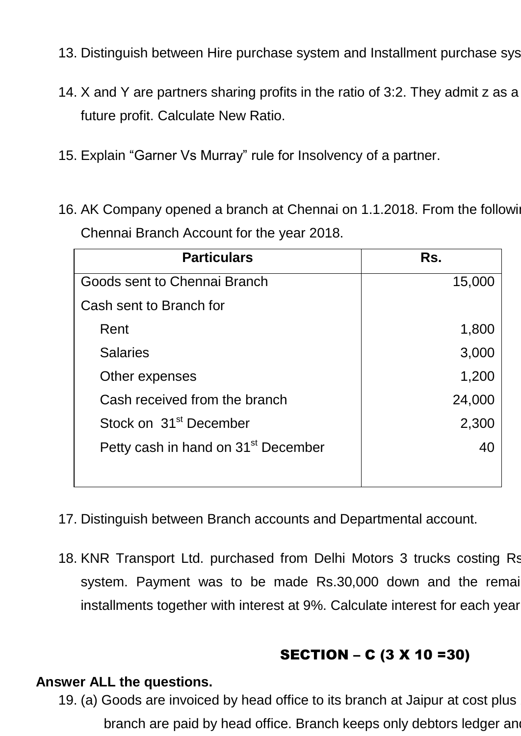- 13. Distinguish between Hire purchase system and Installment purchase system.
- 14. X and Y are partners sharing profits in the ratio of 3:2. They admit z as a future profit. Calculate New Ratio.
- 15. Explain "Garner Vs Murray" rule for Insolvency of a partner.
- 16. AK Company opened a branch at Chennai on 1.1.2018. From the following Chennai Branch Account for the year 2018.

| <b>Particulars</b>                              | Rs.    |
|-------------------------------------------------|--------|
| Goods sent to Chennai Branch                    | 15,000 |
| Cash sent to Branch for                         |        |
| Rent                                            | 1,800  |
| <b>Salaries</b>                                 | 3,000  |
| Other expenses                                  | 1,200  |
| Cash received from the branch                   | 24,000 |
| Stock on 31 <sup>st</sup> December              | 2,300  |
| Petty cash in hand on 31 <sup>st</sup> December | 40     |
|                                                 |        |

- 17. Distinguish between Branch accounts and Departmental account.
- 18. KNR Transport Ltd. purchased from Delhi Motors 3 trucks costing Rs. system. Payment was to be made Rs.30,000 down and the remain installments together with interest at 9%. Calculate interest for each year.

# SECTION – C (3 X 10 =30)

### **Answer ALL the questions.**

19. (a) Goods are invoiced by head office to its branch at Jaipur at cost plus branch are paid by head office. Branch keeps only debtors ledger and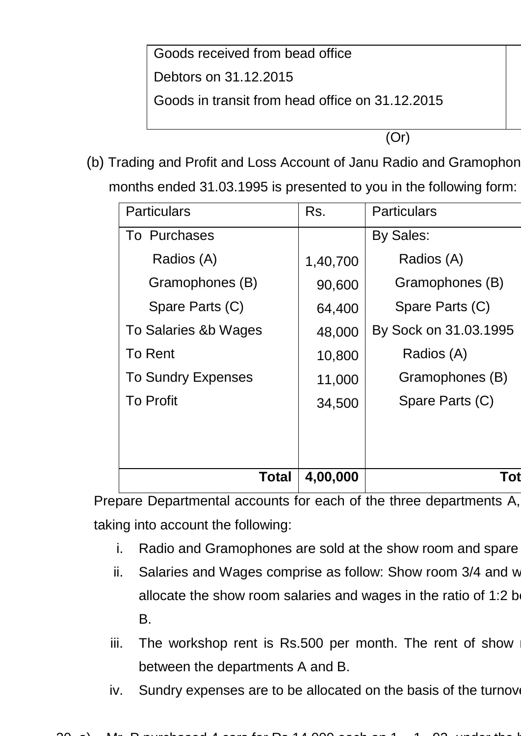Goods received from bead office Debtors on 31.12.2015 Goods in transit from head office on 31.12.2015

(Or)

(b) Trading and Profit and Loss Account of Janu Radio and Gramophon

months ended 31.03.1995 is presented to you in the following form:

| <b>Particulars</b>        | Rs.      | <b>Particulars</b>    |
|---------------------------|----------|-----------------------|
| To Purchases              |          | By Sales:             |
| Radios (A)                | 1,40,700 | Radios (A)            |
| Gramophones (B)           | 90,600   | Gramophones (B)       |
| Spare Parts (C)           | 64,400   | Spare Parts (C)       |
| To Salaries &b Wages      | 48,000   | By Sock on 31.03.1995 |
| To Rent                   | 10,800   | Radios (A)            |
| <b>To Sundry Expenses</b> | 11,000   | Gramophones (B)       |
| <b>To Profit</b>          | 34,500   | Spare Parts (C)       |
|                           |          |                       |
|                           |          |                       |
| Total                     | 4,00,000 | Tot                   |

Prepare Departmental accounts for each of the three departments A, taking into account the following:

- i. Radio and Gramophones are sold at the show room and spare
- ii. Salaries and Wages comprise as follow: Show room  $3/4$  and w allocate the show room salaries and wages in the ratio of 1:2 b B.
- iii. The workshop rent is Rs.500 per month. The rent of show between the departments A and B.
- iv. Sundry expenses are to be allocated on the basis of the turnover